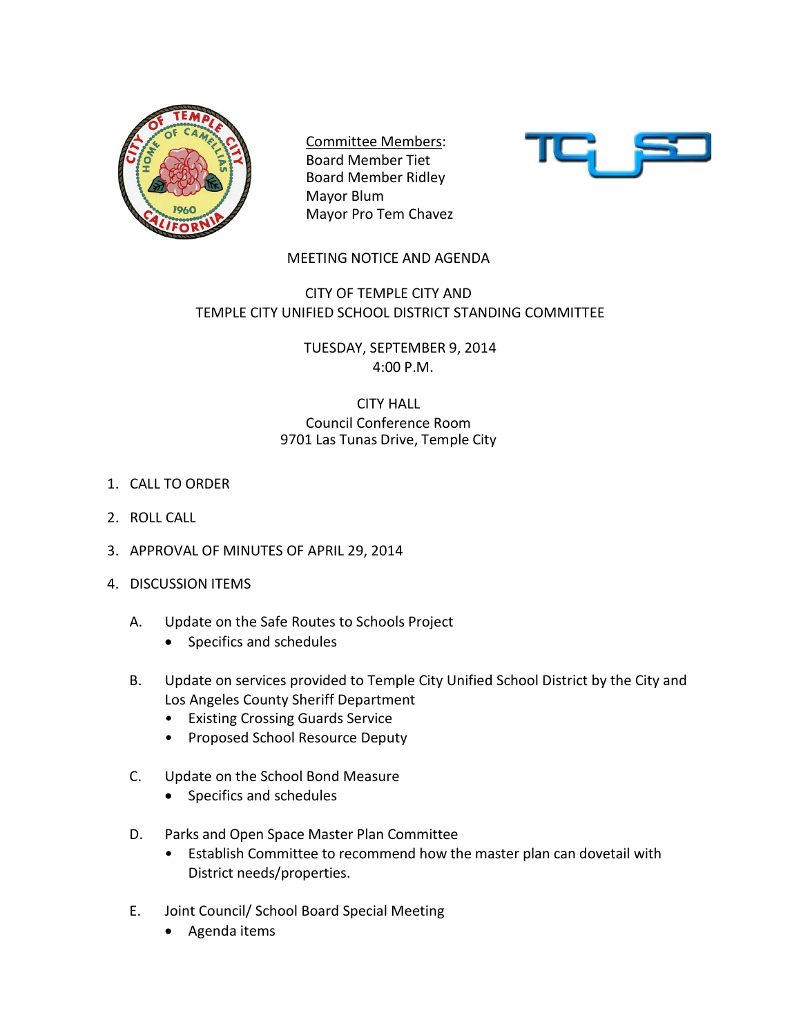

Committee Members: Board Member Tiet Board Member Ridley Mayor Blum Mayor Pro Tem Chavez



## MEETING NOTICE AND AGENDA

## CITY OF TEMPLE CITY AND TEMPLE CITY UNIFIED SCHOOL DISTRICT STANDING COMMITTEE

TUESDAY, SEPTEMBER 9, 2014 4:00 P.M.

## CITY HALL Council Conference Room 9701 Las Tunas Drive, Temple City

- 1. CALL TO ORDER
- 2. ROLL CALL
- 3. APPROVAL OF MINUTES OF APRIL 29, 2014
- 4. DISCUSSION ITEMS
	- A. Update on the Safe Routes to Schools Project
		- Specifics and schedules
	- B. Update on services provided to Temple City Unified School District by the City and Los Angeles County Sheriff Department
		- Existing Crossing Guards Service
		- Proposed School Resource Deputy
	- C. Update on the School Bond Measure
		- Specifics and schedules
	- D. Parks and Open Space Master Plan Committee
		- Establish Committee to recommend how the master plan can dovetail with District needs/properties.
	- E. Joint Council/ School Board Special Meeting
		- Agenda items